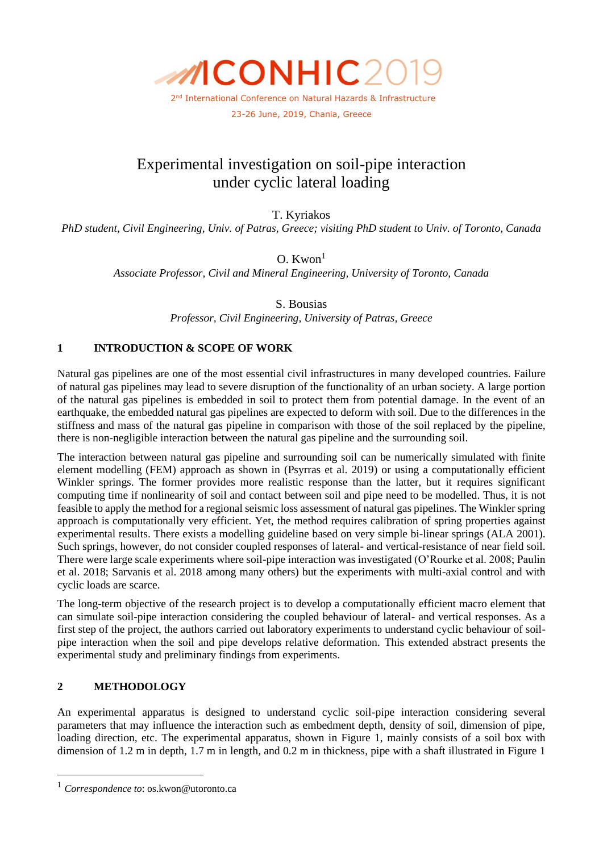

# Experimental investigation on soil-pipe interaction under cyclic lateral loading

T. Kyriakos

*PhD student, Civil Engineering, Univ. of Patras, Greece; visiting PhD student to Univ. of Toronto, Canada*

 $O$ . Kwon<sup>1</sup>

*Associate Professor, Civil and Mineral Engineering, University of Toronto, Canada*

S. Bousias

*Professor, Civil Engineering, University of Patras, Greece*

## **1 INTRODUCTION & SCOPE OF WORK**

Natural gas pipelines are one of the most essential civil infrastructures in many developed countries. Failure of natural gas pipelines may lead to severe disruption of the functionality of an urban society. A large portion of the natural gas pipelines is embedded in soil to protect them from potential damage. In the event of an earthquake, the embedded natural gas pipelines are expected to deform with soil. Due to the differences in the stiffness and mass of the natural gas pipeline in comparison with those of the soil replaced by the pipeline, there is non-negligible interaction between the natural gas pipeline and the surrounding soil.

The interaction between natural gas pipeline and surrounding soil can be numerically simulated with finite element modelling (FEM) approach as shown in (Psyrras et al. 2019) or using a computationally efficient Winkler springs. The former provides more realistic response than the latter, but it requires significant computing time if nonlinearity of soil and contact between soil and pipe need to be modelled. Thus, it is not feasible to apply the method for a regional seismic loss assessment of natural gas pipelines. The Winkler spring approach is computationally very efficient. Yet, the method requires calibration of spring properties against experimental results. There exists a modelling guideline based on very simple bi-linear springs (ALA 2001). Such springs, however, do not consider coupled responses of lateral- and vertical-resistance of near field soil. There were large scale experiments where soil-pipe interaction was investigated (O'Rourke et al. 2008; Paulin et al. 2018; Sarvanis et al. 2018 among many others) but the experiments with multi-axial control and with cyclic loads are scarce.

The long-term objective of the research project is to develop a computationally efficient macro element that can simulate soil-pipe interaction considering the coupled behaviour of lateral- and vertical responses. As a first step of the project, the authors carried out laboratory experiments to understand cyclic behaviour of soilpipe interaction when the soil and pipe develops relative deformation. This extended abstract presents the experimental study and preliminary findings from experiments.

### **2 METHODOLOGY**

An experimental apparatus is designed to understand cyclic soil-pipe interaction considering several parameters that may influence the interaction such as embedment depth, density of soil, dimension of pipe, loading direction, etc. The experimental apparatus, shown in Figure 1, mainly consists of a soil box with dimension of 1.2 m in depth, 1.7 m in length, and 0.2 m in thickness, pipe with a shaft illustrated in Figure 1

<sup>1</sup> *Correspondence to*: os.kwon@utoronto.ca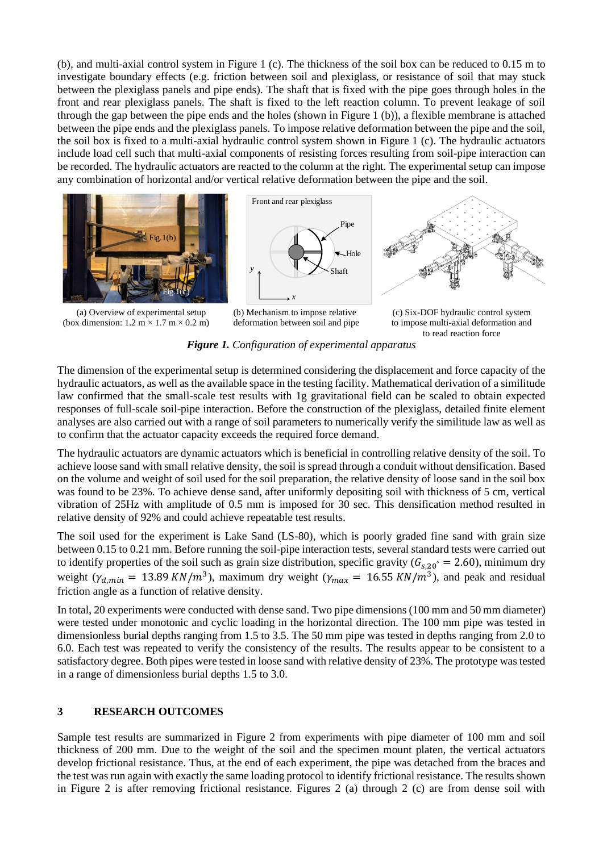(b), and multi-axial control system in Figure 1 (c). The thickness of the soil box can be reduced to 0.15 m to investigate boundary effects (e.g. friction between soil and plexiglass, or resistance of soil that may stuck between the plexiglass panels and pipe ends). The shaft that is fixed with the pipe goes through holes in the front and rear plexiglass panels. The shaft is fixed to the left reaction column. To prevent leakage of soil through the gap between the pipe ends and the holes (shown in Figure 1 (b)), a flexible membrane is attached between the pipe ends and the plexiglass panels. To impose relative deformation between the pipe and the soil, the soil box is fixed to a multi-axial hydraulic control system shown in Figure 1 (c). The hydraulic actuators include load cell such that multi-axial components of resisting forces resulting from soil-pipe interaction can be recorded. The hydraulic actuators are reacted to the column at the right. The experimental setup can impose any combination of horizontal and/or vertical relative deformation between the pipe and the soil.



 (a) Overview of experimental setup (box dimension:  $1.2 \text{ m} \times 1.7 \text{ m} \times 0.2 \text{ m}$ )



*y*

Front and rear plexiglass

Pipe

Hole

Shaft



(c) Six-DOF hydraulic control system to impose multi-axial deformation and to read reaction force

*Figure 1. Configuration of experimental apparatus*

The dimension of the experimental setup is determined considering the displacement and force capacity of the hydraulic actuators, as well as the available space in the testing facility. Mathematical derivation of a similitude law confirmed that the small-scale test results with 1g gravitational field can be scaled to obtain expected responses of full-scale soil-pipe interaction. Before the construction of the plexiglass, detailed finite element analyses are also carried out with a range of soil parameters to numerically verify the similitude law as well as to confirm that the actuator capacity exceeds the required force demand.

The hydraulic actuators are dynamic actuators which is beneficial in controlling relative density of the soil. To achieve loose sand with small relative density, the soil is spread through a conduit without densification. Based on the volume and weight of soil used for the soil preparation, the relative density of loose sand in the soil box was found to be 23%. To achieve dense sand, after uniformly depositing soil with thickness of 5 cm, vertical vibration of 25Hz with amplitude of 0.5 mm is imposed for 30 sec. This densification method resulted in relative density of 92% and could achieve repeatable test results.

The soil used for the experiment is Lake Sand (LS-80), which is poorly graded fine sand with grain size between 0.15 to 0.21 mm. Before running the soil-pipe interaction tests, several standard tests were carried out to identify properties of the soil such as grain size distribution, specific gravity ( $G_{s,20°} = 2.60$ ), minimum dry weight ( $\gamma_{d,min} = 13.89 \, KN/m^3$ ), maximum dry weight ( $\gamma_{max} = 16.55 \, KN/m^3$ ), and peak and residual friction angle as a function of relative density.

In total, 20 experiments were conducted with dense sand. Two pipe dimensions (100 mm and 50 mm diameter) were tested under monotonic and cyclic loading in the horizontal direction. The 100 mm pipe was tested in dimensionless burial depths ranging from 1.5 to 3.5. The 50 mm pipe was tested in depths ranging from 2.0 to 6.0. Each test was repeated to verify the consistency of the results. The results appear to be consistent to a satisfactory degree. Both pipes were tested in loose sand with relative density of 23%. The prototype was tested in a range of dimensionless burial depths 1.5 to 3.0.

### **3 RESEARCH OUTCOMES**

Sample test results are summarized in Figure 2 from experiments with pipe diameter of 100 mm and soil thickness of 200 mm. Due to the weight of the soil and the specimen mount platen, the vertical actuators develop frictional resistance. Thus, at the end of each experiment, the pipe was detached from the braces and the test was run again with exactly the same loading protocol to identify frictional resistance. The results shown in Figure 2 is after removing frictional resistance. Figures 2 (a) through 2 (c) are from dense soil with